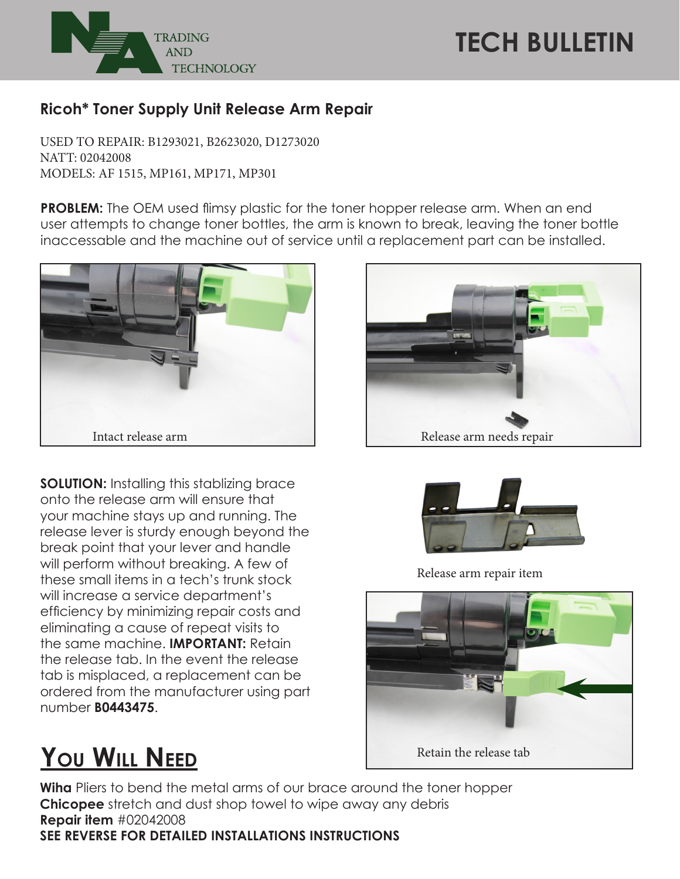

## **TECH BULLETIN**

#### **Ricoh\* Toner Supply Unit Release Arm Repair**

USED TO REPAIR: B1293021, B2623020, D1273020 NATT: 02042008 MODELS: AF 1515, MP161, MP171, MP301

**PROBLEM:** The OEM used flimsy plastic for the toner hopper release arm. When an end user attempts to change toner bottles, the arm is known to break, leaving the toner bottle inaccessable and the machine out of service until a replacement part can be installed.



**SOLUTION:** Installing this stablizing brace onto the release arm will ensure that your machine stays up and running. The release lever is sturdy enough beyond the break point that your lever and handle will perform without breaking. A few of these small items in a tech's trunk stock will increase a service department's efficiency by minimizing repair costs and eliminating a cause of repeat visits to the same machine. **IMPORTANT:** Retain the release tab. In the event the release tab is misplaced, a replacement can be ordered from the manufacturer using part number **B0443475**.

# **You Will Need**





Release arm repair item



**Wiha** Pliers to bend the metal arms of our brace around the toner hopper **Chicopee** stretch and dust shop towel to wipe away any debris **Repair item** #02042008 **SEE REVERSE FOR DETAILED INSTALLATIONS INSTRUCTIONS**